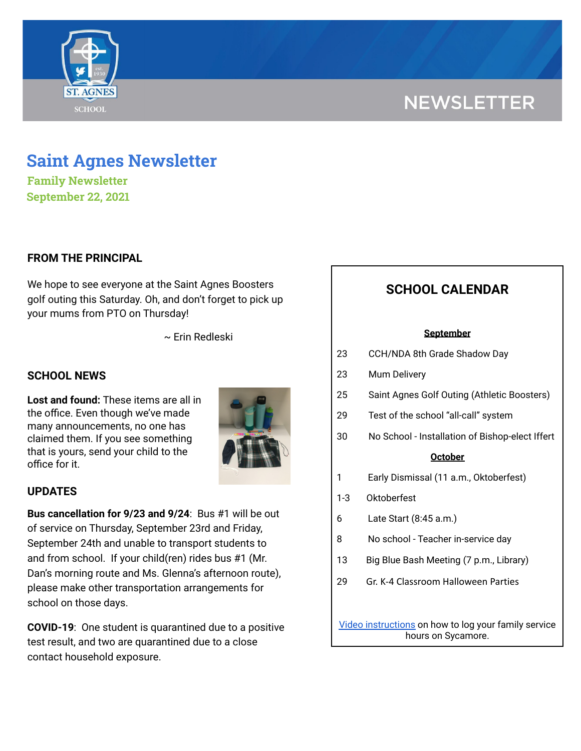

# **NEWSLETTER**

# **Saint Agnes Newsletter**

**Family Newsletter September 22, 2021**

### **FROM THE PRINCIPAL**

We hope to see everyone at the Saint Agnes Boosters golf outing this Saturday. Oh, and don't forget to pick up your mums from PTO on Thursday!

~ Erin Redleski

### **SCHOOL NEWS**

**Lost and found:** These items are all in the office. Even though we've made many announcements, no one has claimed them. If you see something that is yours, send your child to the office for it.



#### **UPDATES**

**Bus cancellation for 9/23 and 9/24**: Bus #1 will be out of service on Thursday, September 23rd and Friday, September 24th and unable to transport students to and from school. If your child(ren) rides bus #1 (Mr. Dan's morning route and Ms. Glenna's afternoon route), please make other transportation arrangements for school on those days.

**COVID-19**: One student is quarantined due to a positive test result, and two are quarantined due to a close contact household exposure.

## **SCHOOL CALENDAR**

#### **September**

| 23 | CCH/NDA 8th Grade Shadow Day |
|----|------------------------------|
|    |                              |

- 23 Mum Delivery
- 25 Saint Agnes Golf Outing (Athletic Boosters)
- 29 Test of the school "all-call" system
- 30 No School Installation of Bishop-elect Iffert

#### **October**

- 1 Early Dismissal (11 a.m., Oktoberfest)
- 1-3 Oktoberfest
- 6 Late Start (8:45 a.m.)
- 8 No school Teacher in-service day
- 13 Big Blue Bash Meeting (7 p.m., Library)
- 29 Gr. K-4 Classroom Halloween Parties

Video [instructions](https://drive.google.com/file/d/1cmYj9N-NF2btSiiG8QdTD20q2RJRpwk7/view?usp=sharing) on how to log your family service hours on Sycamore.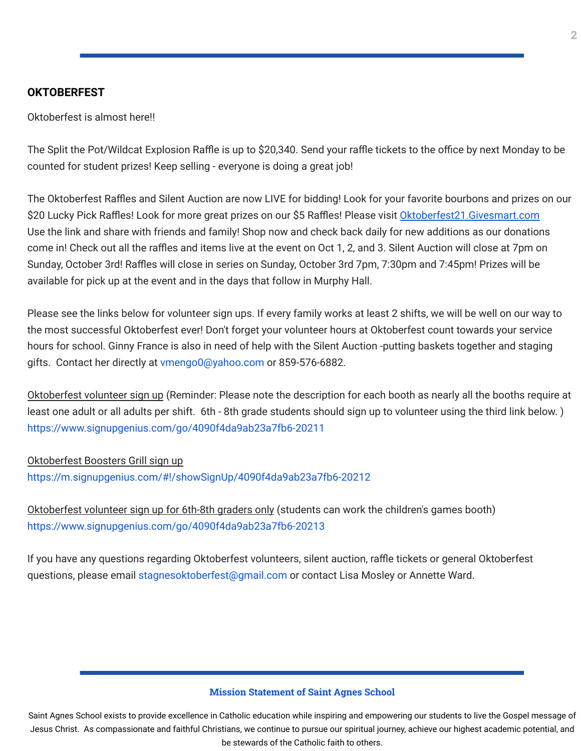#### **OKTOBERFEST**

Oktoberfest is almost here!!

The Split the Pot/Wildcat Explosion Raffle is up to \$20,340. Send your raffle tickets to the office by next Monday to be counted for student prizes! Keep selling - everyone is doing a great job!

The Oktoberfest Raffles and Silent Auction are now LIVE for bidding! Look for your favorite bourbons and prizes on our \$20 Lucky Pick Raffles! Look for more great prizes on our \$5 Raffles! Please visit Oktoberfest21. Givesmart.com Use the link and share with friends and family! Shop now and check back daily for new additions as our donations come in! Check out all the raffles and items live at the event on Oct 1, 2, and 3. Silent Auction will close at 7pm on Sunday, October 3rd! Raffles will close in series on Sunday, October 3rd 7pm, 7:30pm and 7:45pm! Prizes will be available for pick up at the event and in the days that follow in Murphy Hall.

Please see the links below for volunteer sign ups. If every family works at least 2 shifts, we will be well on our way to the most successful Oktoberfest ever! Don't forget your volunteer hours at Oktoberfest count towards your service hours for school. Ginny France is also in need of help with the Silent Auction -putting baskets together and staging gifts. Contact her directly at vmengo0@yahoo.com or 859-576-6882.

Oktoberfest volunteer sign up (Reminder: Please note the description for each booth as nearly all the booths require at least one adult or all adults per shift. 6th - 8th grade students should sign up to volunteer using the third link below. ) <https://www.signupgenius.com/go/4090f4da9ab23a7fb6-20211>

Oktoberfest Boosters Grill sign up <https://m.signupgenius.com/#!/showSignUp/4090f4da9ab23a7fb6-20212>

Oktoberfest volunteer sign up for 6th-8th graders only (students can work the children's games booth) <https://www.signupgenius.com/go/4090f4da9ab23a7fb6-20213>

If you have any questions regarding Oktoberfest volunteers, silent auction, raffle tickets or general Oktoberfest questions, please email stagnesoktoberfest@gmail.com or contact Lisa Mosley or Annette Ward.

#### **Mission Statement of Saint Agnes School**

Saint Agnes School exists to provide excellence in Catholic education while inspiring and empowering our students to live the Gospel message of Jesus Christ. As compassionate and faithful Christians, we continue to pursue our spiritual journey, achieve our highest academic potential, and be stewards of the Catholic faith to others.